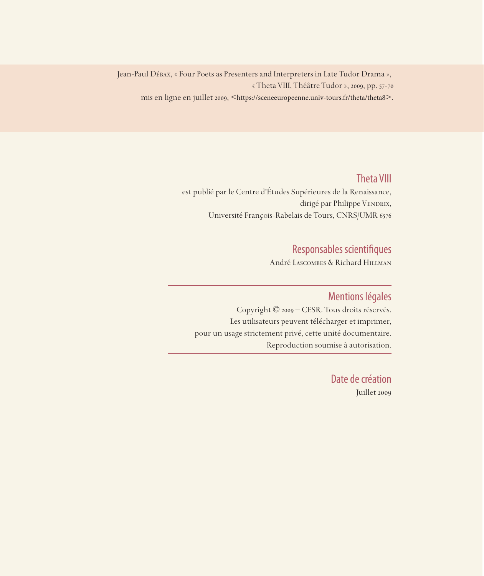Jean-Paul Débax, « Four Poets as Presenters and Interpreters in Late Tudor Drama », « Theta VIII, Théâtre Tudor », 2009, pp. 57-70 mis en ligne en juillet 2009, <https://sceneeuropeenne.univ-tours.fr/theta/theta8>.

## Theta VIII

est publié par le Centre d'Études Supérieures de la Renaissance, dirigé par Philippe VENDRIX, Université François-Rabelais de Tours, CNRS/UMR 6576

# Responsables scientifiques

André Lascombes & Richard Hillman

## Mentions légales

Copyright © 2009 – CESR. Tous droits réservés. Les utilisateurs peuvent télécharger et imprimer, pour un usage strictement privé, cette unité documentaire. Reproduction soumise à autorisation.

> Date de création Juillet 2009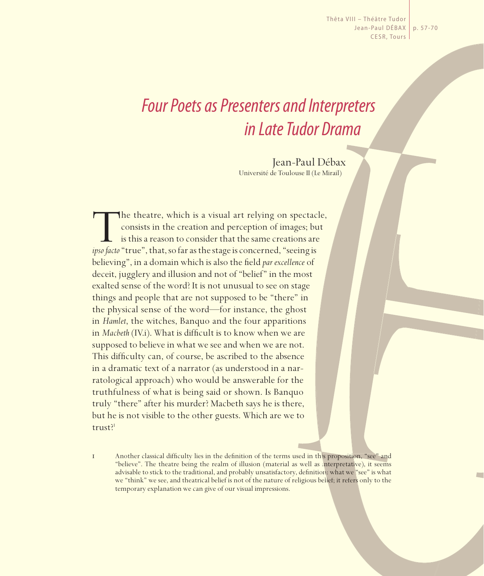Thêta VIII - Théâtre Tudor Jean-Paul DÉBAX | p. 57-70 CESR, Tours

# *Four Poets as Presenters and Interpreters in Late Tudor Drama*

Jean-Paul Débax Université de Toulouse II (Le Mirail)

The theatre, which is a visual art relying on spectacle, consists in the creation and perception of images; but is this a reason to consider that the same creations are *ipso facto* "true", that, so far as the stage is con consists in the creation and perception of images; but is this a reason to consider that the same creations are believing", in a domain which is also the field *par excellence* of deceit, jugglery and illusion and not of "belief" in the most exalted sense of the word? It is not unusual to see on stage things and people that are not supposed to be "there" in the physical sense of the word—for instance, the ghost in *Hamlet*, the witches, Banquo and the four apparitions in *Macbeth* (IV.i). What is difficult is to know when we are supposed to believe in what we see and when we are not. This difficulty can, of course, be ascribed to the absence in a dramatic text of a narrator (as understood in a narratological approach) who would be answerable for the truthfulness of what is being said or shown. Is Banquo truly "there" after his murder? Macbeth says he is there, but he is not visible to the other guests. Which are we to trust?<sup>1</sup>

<sup>1</sup> Another classical difficulty lies in the definition of the terms used in this proposition, "see" and "believe". The theatre being the realm of illusion (material as well as interpretative), it seems advisable to stick to the traditional, and probably unsatisfactory, definition: what we "see" is what we "think" we see, and theatrical belief is not of the nature of religious belief; it refers only to the temporary explanation we can give of our visual impressions.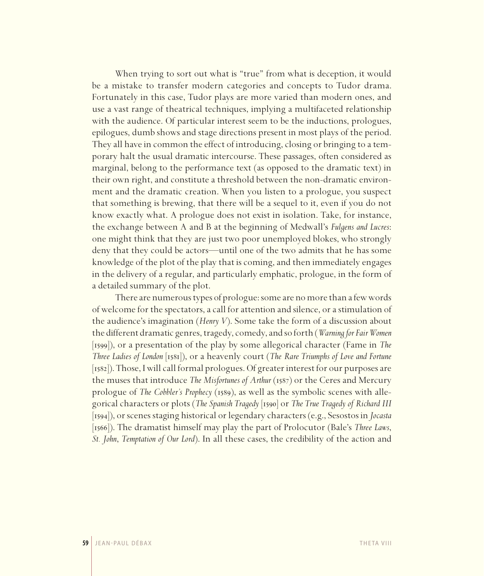When trying to sort out what is "true" from what is deception, it would be a mistake to transfer modern categories and concepts to Tudor drama. Fortunately in this case, Tudor plays are more varied than modern ones, and use a vast range of theatrical techniques, implying a multifaceted relationship with the audience. Of particular interest seem to be the inductions, prologues, epilogues, dumb shows and stage directions present in most plays of the period. They all have in common the effect of introducing, closing or bringing to a temporary halt the usual dramatic intercourse. These passages, often considered as marginal, belong to the performance text (as opposed to the dramatic text) in their own right, and constitute a threshold between the non-dramatic environment and the dramatic creation. When you listen to a prologue, you suspect that something is brewing, that there will be a sequel to it, even if you do not know exactly what. A prologue does not exist in isolation. Take, for instance, the exchange between A and B at the beginning of Medwall's *Fulgens and Lucres*: one might think that they are just two poor unemployed blokes, who strongly deny that they could be actors—until one of the two admits that he has some knowledge of the plot of the play that is coming, and then immediately engages in the delivery of a regular, and particularly emphatic, prologue, in the form of a detailed summary of the plot.

There are numerous types of prologue: some are no more than a few words of welcome for the spectators, a call for attention and silence, or a stimulation of the audience's imagination (*Henry V*). Some take the form of a discussion about the different dramatic genres, tragedy, comedy, and so forth (*Warning for Fair Women* [1599]), or a presentation of the play by some allegorical character (Fame in *The Three Ladies of London* [1581]), or a heavenly court (*The Rare Triumphs of Love and Fortune* [1582]). Those, Iwill call formal prologues. Of greater interest for our purposes are the muses that introduce *The Misfortunes of Arthur* (1587) or the Ceres and Mercury prologue of *The Cobbler's Prophecy* (1589), as well as the symbolic scenes with allegorical characters or plots (*The Spanish Tragedy* [1590] or *The True Tragedy of Richard III* [1594]), or scenes staging historical or legendary characters (e.g., Sesostos in *Jocasta* [1566]). The dramatist himself may play the part of Prolocutor (Bale's *Three Laws*, *St. John*, *Temptation of Our Lord*). In all these cases, the credibility of the action and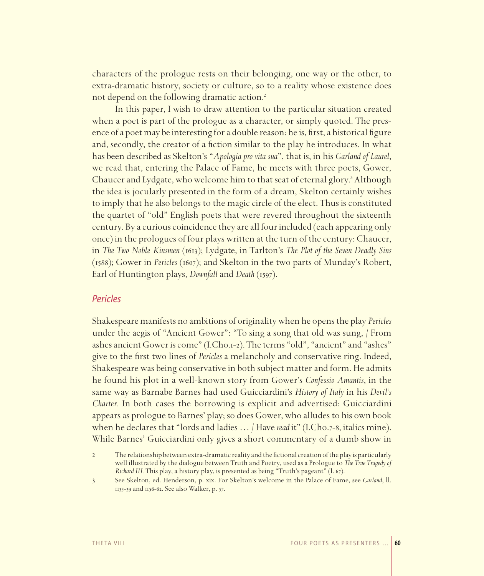characters of the prologue rests on their belonging, one way or the other, to extra-dramatic history, society or culture, so to a reality whose existence does not depend on the following dramatic action.<sup>2</sup>

In this paper, I wish to draw attention to the particular situation created when a poet is part of the prologue as a character, or simply quoted. The presence of a poet may be interesting for a double reason: he is, first, a historical figure and, secondly, the creator of a fiction similar to the play he introduces. In what has been described as Skelton's "*Apologia pro vita sua*", that is, in his *Garland of Laurel*, we read that, entering the Palace of Fame, he meets with three poets, Gower, Chaucer and Lydgate, who welcome him to that seat of eternal glory.<sup>3</sup> Although the idea is jocularly presented in the form of a dream, Skelton certainly wishes to imply that he also belongs to the magic circle of the elect. Thus is constituted the quartet of "old" English poets that were revered throughout the sixteenth century. By a curious coincidence they are all four included (each appearing only once) in the prologues of four plays written at the turn of the century: Chaucer, in *The Two Noble Kinsmen* (1613); Lydgate, in Tarlton's *The Plot of the Seven Deadly Sins* (1588); Gower in *Pericles* (1607); and Skelton in the two parts of Munday's Robert, Earl of Huntington plays, *Downfall* and *Death* (1597).

#### *Pericles*

Shakespeare manifests no ambitions of originality when he opens the play *Pericles* under the aegis of "Ancient Gower": "To sing a song that old was sung, / From ashes ancient Gower is come" (I.Cho.1-2). The terms "old", "ancient" and "ashes" give to the first two lines of *Pericles* a melancholy and conservative ring. Indeed, Shakespeare was being conservative in both subject matter and form. He admits he found his plot in a well-known story from Gower's *Confessio Amantis*, in the same way as Barnabe Barnes had used Guicciardini's *History of Italy* in his *Devil's Charter.* In both cases the borrowing is explicit and advertised: Guicciardini appears as prologue to Barnes' play; so does Gower, who alludes to his own book when he declares that "lords and ladies ... / Have *read* it" (I.Cho.*7*-8, italics mine). While Barnes' Guicciardini only gives a short commentary of a dumb show in

<sup>2</sup> The relationship between extra-dramatic reality and the fictional creation of the play is particularly well illustrated by the dialogue between Truth and Poetry, used as a Prologue to *The True Tragedy of Richard III.* This play, a history play, is presented as being "Truth's pageant" (l. 67).

<sup>3</sup> See Skelton, ed. Henderson, p. xix. For Skelton's welcome in the Palace of Fame, see *Garland*, ll. 1135-39 and 1156-62. See also Walker, p. 57.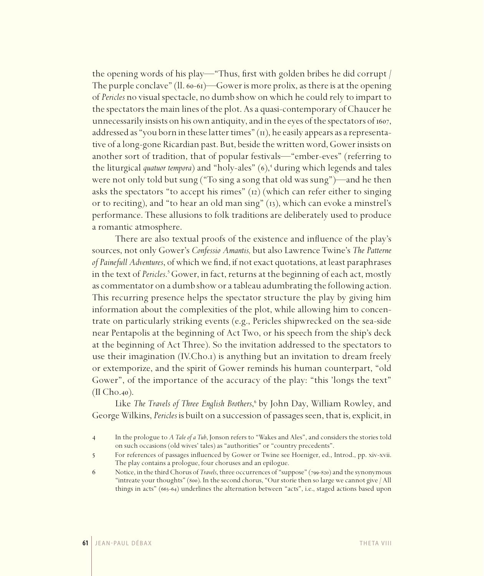the opening words of his play—"Thus, first with golden bribes he did corrupt / The purple conclave" (ll. 60-61)—Gower is more prolix, as there is at the opening of *Pericles* no visual spectacle, no dumb show on which he could rely to impart to the spectators the main lines of the plot. As a quasi-contemporary of Chaucer he unnecessarily insists on his own antiquity, and in the eyes of the spectators of 1607, addressed as "you born in these latter times"  $(n)$ , he easily appears as a representative of a long-gone Ricardian past. But, beside the written word, Gower insists on another sort of tradition, that of popular festivals—"ember-eves" (referring to the liturgical *quatuor tempora*) and "holy-ales" (6),<sup>4</sup> during which legends and tales were not only told but sung ("To sing a song that old was sung")—and he then asks the spectators "to accept his rimes" (12) (which can refer either to singing or to reciting), and "to hear an old man sing" (13), which can evoke a minstrel's performance. These allusions to folk traditions are deliberately used to produce a romantic atmosphere.

There are also textual proofs of the existence and influence of the play's sources, not only Gower's *Confessio Amantis,* but also Lawrence Twine's *The Patterne of Painefull Adventures*, of which we find, if not exact quotations, at least paraphrases in the text of *Pericles*.<sup>5</sup> Gower, in fact, returns at the beginning of each act, mostly as commentator on a dumb show or a tableau adumbrating the following action. This recurring presence helps the spectator structure the play by giving him information about the complexities of the plot, while allowing him to concentrate on particularly striking events (e.g., Pericles shipwrecked on the sea-side near Pentapolis at the beginning of Act Two, or his speech from the ship's deck at the beginning of Act Three). So the invitation addressed to the spectators to use their imagination (IV.Cho.1) is anything but an invitation to dream freely or extemporize, and the spirit of Gower reminds his human counterpart, "old Gower", of the importance of the accuracy of the play: "this 'longs the text" (II Cho.40).

Like The Travels of Three English Brothers,<sup>6</sup> by John Day, William Rowley, and George Wilkins, *Pericles* is built on a succession of passages seen, that is, explicit, in

<sup>4</sup> In the prologue to *A Tale of a Tub*, Jonson refers to "Wakes and Ales", and considers the stories told on such occasions (old wives' tales) as "authorities" or "country precedents".

<sup>5</sup> For references of passages influenced by Gower or Twine see Hoeniger, ed., Introd., pp. xiv-xvii. The play contains a prologue, four choruses and an epilogue.

<sup>6</sup> Notice, in the third Chorus of *Travels*, three occurrences of "suppose" (799-820) and the synonymous "intreate your thoughts" (800). In the second chorus, "Our storie then so large we cannot give / All things in acts" (663-64) underlines the alternation between "acts", i.e., staged actions based upon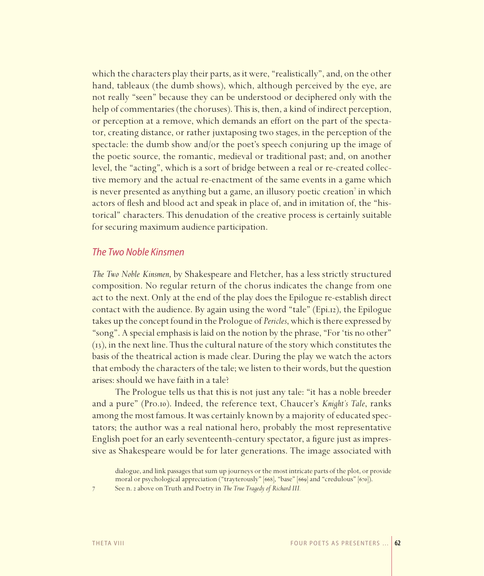which the characters play their parts, as it were, "realistically", and, on the other hand, tableaux (the dumb shows), which, although perceived by the eye, are not really "seen" because they can be understood or deciphered only with the help of commentaries (the choruses). This is, then, a kind of indirect perception, or perception at a remove, which demands an effort on the part of the spectator, creating distance, or rather juxtaposing two stages, in the perception of the spectacle: the dumb show and/or the poet's speech conjuring up the image of the poetic source, the romantic, medieval or traditional past; and, on another level, the "acting", which is a sort of bridge between a real or re-created collective memory and the actual re-enactment of the same events in a game which is never presented as anything but a game, an illusory poetic creation<sup>7</sup> in which actors of flesh and blood act and speak in place of, and in imitation of, the "historical" characters. This denudation of the creative process is certainly suitable for securing maximum audience participation.

#### *The Two Noble Kinsmen*

*The Two Noble Kinsmen*, by Shakespeare and Fletcher, has a less strictly structured composition. No regular return of the chorus indicates the change from one act to the next. Only at the end of the play does the Epilogue re-establish direct contact with the audience. By again using the word "tale" (Epi.12), the Epilogue takes up the concept found in the Prologue of *Pericles*, which is there expressed by "song". A special emphasis is laid on the notion by the phrase, "For 'tis no other" (13), in the next line. Thus the cultural nature of the story which constitutes the basis of the theatrical action is made clear. During the play we watch the actors that embody the characters of the tale; we listen to their words, but the question arises: should we have faith in a tale?

The Prologue tells us that this is not just any tale: "it has a noble breeder and a pure" (Pro.10). Indeed, the reference text, Chaucer's *Knight's Tale*, ranks among the most famous. It was certainly known by a majority of educated spectators; the author was a real national hero, probably the most representative English poet for an early seventeenth-century spectator, a figure just as impressive as Shakespeare would be for later generations. The image associated with

7 See n. 2 above on Truth and Poetry in *The True Tragedy of Richard III.*

dialogue, and link passages that sum up journeys or the most intricate parts of the plot, or provide moral or psychological appreciation ("trayterously" [668], "base" [669] and "credulous" [670]).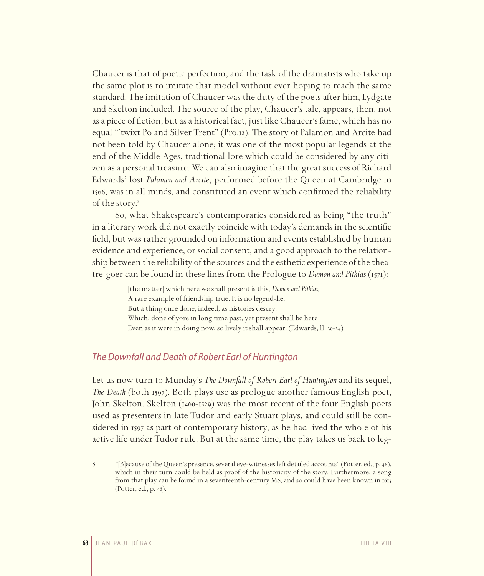Chaucer is that of poetic perfection, and the task of the dramatists who take up the same plot is to imitate that model without ever hoping to reach the same standard. The imitation of Chaucer was the duty of the poets after him, Lydgate and Skelton included. The source of the play, Chaucer's tale, appears, then, not as a piece of fiction, but as a historical fact, just like Chaucer's fame, which has no equal "'twixt Po and Silver Trent" (Pro.12). The story of Palamon and Arcite had not been told by Chaucer alone; it was one of the most popular legends at the end of the Middle Ages, traditional lore which could be considered by any citizen as a personal treasure. We can also imagine that the great success of Richard Edwards' lost *Palamon and Arcite*, performed before the Queen at Cambridge in 1566, was in all minds, and constituted an event which confirmed the reliability of the story.<sup>8</sup>

So, what Shakespeare's contemporaries considered as being "the truth" in a literary work did not exactly coincide with today's demands in the scientific field, but was rather grounded on information and events established by human evidence and experience, or social consent; and a good approach to the relationship between the reliability of the sources and the esthetic experience of the theatre-goer can be found in these lines from the Prologue to *Damon and Pithias* (1571):

> [the matter] which here we shall present is this, *Damon and Pithias,* A rare example of friendship true. It is no legend-lie, But a thing once done, indeed, as histories descry, Which, done of yore in long time past, yet present shall be here Even as it were in doing now, so lively it shall appear. (Edwards, ll. 30-34)

#### *The Downfall and Death of Robert Earl of Huntington*

Let us now turn to Munday's *The Downfall of Robert Earl of Huntington* and its sequel, *The Death* (both 1597). Both plays use as prologue another famous English poet, John Skelton. Skelton (1460-1529) was the most recent of the four English poets used as presenters in late Tudor and early Stuart plays, and could still be considered in 1597 as part of contemporary history, as he had lived the whole of his active life under Tudor rule. But at the same time, the play takes us back to leg-

<sup>8 &</sup>quot;[B]ecause of the Queen's presence, several eye-witnesses left detailed accounts" (Potter, ed., p. 46), which in their turn could be held as proof of the historicity of the story. Furthermore, a song from that play can be found in a seventeenth-century MS, and so could have been known in 1613 (Potter, ed., p. 46).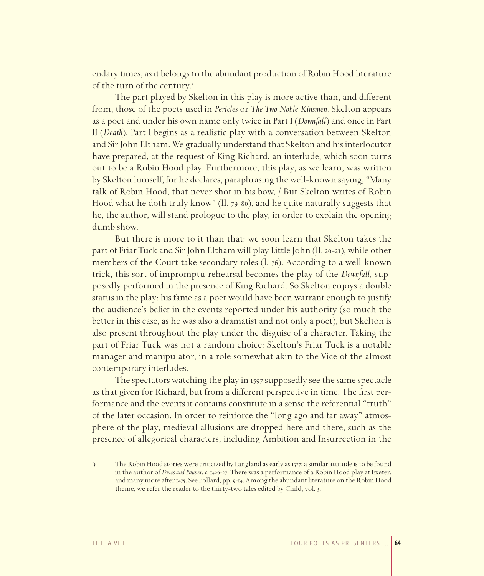endary times, as it belongs to the abundant production of Robin Hood literature of the turn of the century.9

The part played by Skelton in this play is more active than, and different from, those of the poets used in *Pericles* or *The Two Noble Kinsmen.* Skelton appears as a poet and under his own name only twice in Part I (*Downfall*) and once in Part II (*Death*). Part I begins as a realistic play with a conversation between Skelton and Sir John Eltham. We gradually understand that Skelton and his interlocutor have prepared, at the request of King Richard, an interlude, which soon turns out to be a Robin Hood play. Furthermore, this play, as we learn, was written by Skelton himself, for he declares, paraphrasing the well-known saying, "Many talk of Robin Hood, that never shot in his bow, / But Skelton writes of Robin Hood what he doth truly know" (ll. 79-80), and he quite naturally suggests that he, the author, will stand prologue to the play, in order to explain the opening dumb show.

But there is more to it than that: we soon learn that Skelton takes the part of Friar Tuck and Sir John Eltham will play Little John (ll. 20-21), while other members of the Court take secondary roles (l. 76). According to a well-known trick, this sort of impromptu rehearsal becomes the play of the *Downfall,* supposedly performed in the presence of King Richard. So Skelton enjoys a double status in the play: his fame as a poet would have been warrant enough to justify the audience's belief in the events reported under his authority (so much the better in this case, as he was also a dramatist and not only a poet), but Skelton is also present throughout the play under the disguise of a character. Taking the part of Friar Tuck was not a random choice: Skelton's Friar Tuck is a notable manager and manipulator, in a role somewhat akin to the Vice of the almost contemporary interludes.

The spectators watching the play in 1597 supposedly see the same spectacle as that given for Richard, but from a different perspective in time. The first performance and the events it contains constitute in a sense the referential "truth" of the later occasion. In order to reinforce the "long ago and far away" atmosphere of the play, medieval allusions are dropped here and there, such as the presence of allegorical characters, including Ambition and Insurrection in the

<sup>9</sup> The Robin Hood stories were criticized by Langland as early as 1377; a similar attitude is to be found in the author of *Dives and Pauper*, *c.* 1426-27. There was a performance of a Robin Hood play at Exeter, and many more after 1475. See Pollard, pp. 9-14. Among the abundant literature on the Robin Hood theme, we refer the reader to the thirty-two tales edited by Child, vol. 3.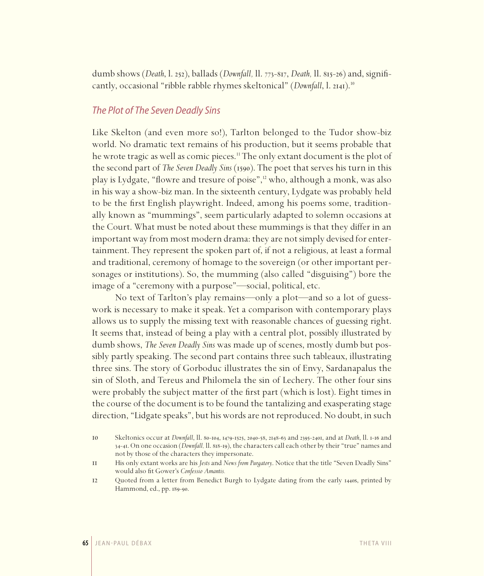dumb shows (*Death*, l. 252), ballads (*Downfall,* ll. 773-817, *Death,* ll. 815-26) and, significantly, occasional "ribble rabble rhymes skeltonical" (*Downfall*, l. 2141).10

#### *The Plot of The Seven Deadly Sins*

Like Skelton (and even more so!), Tarlton belonged to the Tudor show-biz world. No dramatic text remains of his production, but it seems probable that he wrote tragic as well as comic pieces.<sup>11</sup> The only extant document is the plot of the second part of *The Seven Deadly Sins* (1590). The poet that serves his turn in this play is Lydgate, "flowre and tresure of poise",<sup>2</sup> who, although a monk, was also in his way a show-biz man. In the sixteenth century, Lydgate was probably held to be the first English playwright. Indeed, among his poems some, traditionally known as "mummings", seem particularly adapted to solemn occasions at the Court. What must be noted about these mummings is that they differ in an important way from most modern drama: they are not simply devised for entertainment. They represent the spoken part of, if not a religious, at least a formal and traditional, ceremony of homage to the sovereign (or other important personages or institutions). So, the mumming (also called "disguising") bore the image of a "ceremony with a purpose"—social, political, etc.

No text of Tarlton's play remains—only a plot—and so a lot of guesswork is necessary to make it speak. Yet a comparison with contemporary plays allows us to supply the missing text with reasonable chances of guessing right. It seems that, instead of being a play with a central plot, possibly illustrated by dumb shows, *The Seven Deadly Sins* was made up of scenes, mostly dumb but possibly partly speaking. The second part contains three such tableaux, illustrating three sins. The story of Gorboduc illustrates the sin of Envy, Sardanapalus the sin of Sloth, and Tereus and Philomela the sin of Lechery. The other four sins were probably the subject matter of the first part (which is lost). Eight times in the course of the document is to be found the tantalizing and exasperating stage direction, "Lidgate speaks", but his words are not reproduced. No doubt, in such

12 Quoted from a letter from Benedict Burgh to Lydgate dating from the early 1440s, printed by Hammond, ed., pp. 189-90.

<sup>10</sup> Skeltonics occur at *Downfall*, ll. 80-104, 1479-1525, 2040-58, 2148-63 and 2395-2401, and at *Death*, ll. 1-16 and 34-41. On one occasion (*Downfall,* ll. 818-19), the characters call each other by their "true" names and not by those of the characters they impersonate.

<sup>11</sup> His only extant works are his *Jests* and *News from Purgatory*. Notice that the title "Seven Deadly Sins" would also fit Gower's *Confessio Amantis.*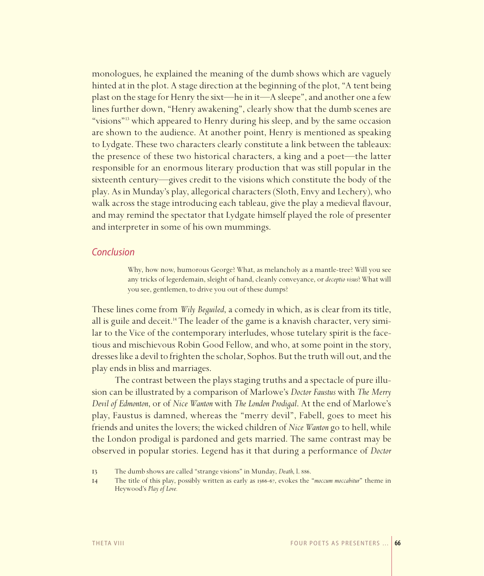monologues, he explained the meaning of the dumb shows which are vaguely hinted at in the plot. A stage direction at the beginning of the plot, "A tent being plast on the stage for Henry the sixt—he in it—A sleepe", and another one a few lines further down, "Henry awakening", clearly show that the dumb scenes are "visions"<sup>13</sup> which appeared to Henry during his sleep, and by the same occasion are shown to the audience. At another point, Henry is mentioned as speaking to Lydgate. These two characters clearly constitute a link between the tableaux: the presence of these two historical characters, a king and a poet—the latter responsible for an enormous literary production that was still popular in the sixteenth century—gives credit to the visions which constitute the body of the play. As in Munday's play, allegorical characters (Sloth, Envy and Lechery), who walk across the stage introducing each tableau, give the play a medieval flavour, and may remind the spectator that Lydgate himself played the role of presenter and interpreter in some of his own mummings.

#### *Conclusion*

Why, how now, humorous George? What, as melancholy as a mantle-tree? Will you see any tricks of legerdemain, sleight of hand, cleanly conveyance, or *deceptio visus*? What will you see, gentlemen, to drive you out of these dumps?

These lines come from *Wily Beguiled*, a comedy in which, as is clear from its title, all is guile and deceit.<sup>14</sup> The leader of the game is a knavish character, very similar to the Vice of the contemporary interludes, whose tutelary spirit is the facetious and mischievous Robin Good Fellow, and who, at some point in the story, dresses like a devil to frighten the scholar, Sophos. But the truth will out, and the play ends in bliss and marriages.

The contrast between the plays staging truths and a spectacle of pure illusion can be illustrated by a comparison of Marlowe's *Doctor Faustus* with *The Merry Devil of Edmonton*, or of *Nice Wanton* with *The London Prodigal*. At the end of Marlowe's play, Faustus is damned, whereas the "merry devil", Fabell, goes to meet his friends and unites the lovers; the wicked children of *Nice Wanton* go to hell, while the London prodigal is pardoned and gets married. The same contrast may be observed in popular stories. Legend has it that during a performance of *Doctor* 

<sup>13</sup> The dumb shows are called "strange visions" in Munday, *Death*, l. 886.

<sup>14</sup> The title of this play, possibly written as early as 1566-67, evokes the "*moccum moccabitur*" theme in Heywood's *Play of Love.*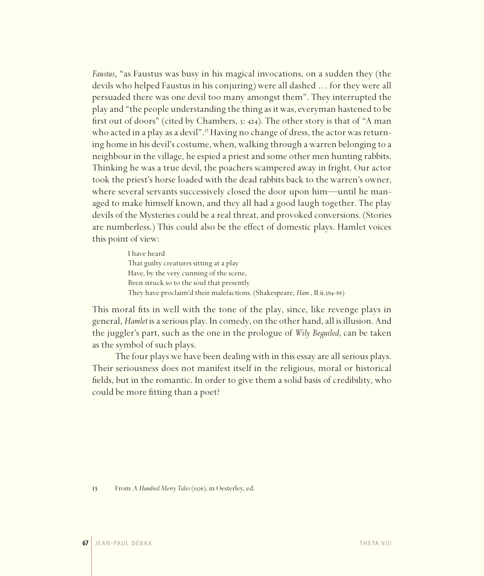*Faustus*, "as Faustus was busy in his magical invocations, on a sudden they (the devils who helped Faustus in his conjuring) were all dashed … for they were all persuaded there was one devil too many amongst them". They interrupted the play and "the people understanding the thing as it was, everyman hastened to be first out of doors" (cited by Chambers, 3: 424). The other story is that of "A man who acted in a play as a devil".<sup>15</sup> Having no change of dress, the actor was returning home in his devil's costume, when, walking through a warren belonging to a neighbour in the village, he espied a priest and some other men hunting rabbits. Thinking he was a true devil, the poachers scampered away in fright. Our actor took the priest's horse loaded with the dead rabbits back to the warren's owner, where several servants successively closed the door upon him—until he managed to make himself known, and they all had a good laugh together. The play devils of the Mysteries could be a real threat, and provoked conversions. (Stories are numberless.) This could also be the effect of domestic plays. Hamlet voices this point of view:

> I have heard That guilty creatures sitting at a play Have, by the very cunning of the scene, Been struck so to the soul that presently They have proclaim'd their malefactions. (Shakespeare, *Ham.*, II.ii.584-88)

This moral fits in well with the tone of the play, since, like revenge plays in general, *Hamlet* is a serious play. In comedy, on the other hand, all is illusion. And the juggler's part, such as the one in the prologue of *Wily Beguiled*, can be taken as the symbol of such plays.

The four plays we have been dealing with in this essay are all serious plays. Their seriousness does not manifest itself in the religious, moral or historical fields, but in the romantic. In order to give them a solid basis of credibility, who could be more fitting than a poet?

15 From *A Hundred Merry Tales* (1526), in Oesterley, ed.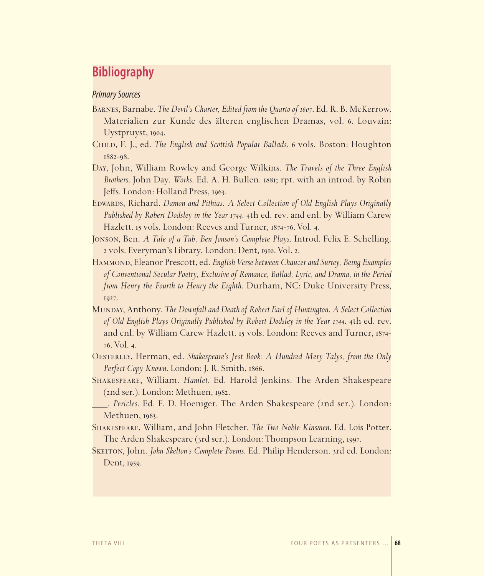# **Bibliography**

#### *Primary Sources*

- BARNES, Barnabe. *The Devil's Charter, Edited from the Quarto of 1607*. Ed. R. B. McKerrow. Materialien zur Kunde des älteren englischen Dramas, vol. 6. Louvain: Uystpruyst, 1904.
- Child, F. J., ed. *The English and Scottish Popular Ballads*. 6 vols. Boston: Houghton 1882-98.
- Day, John, William Rowley and George Wilkins. *The Travels of the Three English Brothers*. John Day. *Works*. Ed. A. H. Bullen. 1881; rpt. with an introd. by Robin Jeffs. London: Holland Press, 1963.
- EDWARDS, Richard. *Damon and Pithias. A Select Collection of Old English Plays Originally Published by Robert Dodsley in the Year 1744*. 4th ed. rev. and enl. by William Carew Hazlett. 15 vols. London: Reeves and Turner, 1874-76. Vol. 4.
- Jonson, Ben. *A Tale of a Tub*. *Ben Jonson's Complete Plays*. Introd. Felix E. Schelling. 2 vols. Everyman's Library. London: Dent, 1910. Vol. 2.
- Hammond, Eleanor Prescott, ed. *English Verse between Chaucer and Surrey, Being Examples of Conventional Secular Poetry, Exclusive of Romance, Ballad, Lyric, and Drama, in the Period from Henry the Fourth to Henry the Eighth*. Durham, NC: Duke University Press, 1927.
- Munday, Anthony. *The Downfall and Death of Robert Earl of Huntington*. *A Select Collection of Old English Plays Originally Published by Robert Dodsley in the Year 1744*. 4th ed. rev. and enl. by William Carew Hazlett. 15 vols. London: Reeves and Turner, 1874- 76. Vol. 4.
- Oesterley, Herman, ed. *Shakespeare's Jest Book: A Hundred Mery Talys, from the Only Perfect Copy Known*. London: J. R. Smith, 1866.
- Shakespeare, William. *Hamlet*. Ed. Harold Jenkins. The Arden Shakespeare (2nd ser.). London: Methuen, 1982.
- \_\_\_. *Pericles*. Ed. F. D. Hoeniger. The Arden Shakespeare (2nd ser.). London: Methuen, 1963.
- Shakespeare, William, and John Fletcher. *The Two Noble Kinsmen*. Ed. Lois Potter. The Arden Shakespeare (3rd ser.). London: Thompson Learning, 1997.
- Skelton, John. *John Skelton's Complete Poems*. Ed. Philip Henderson. 3rd ed. London: Dent, 1959.